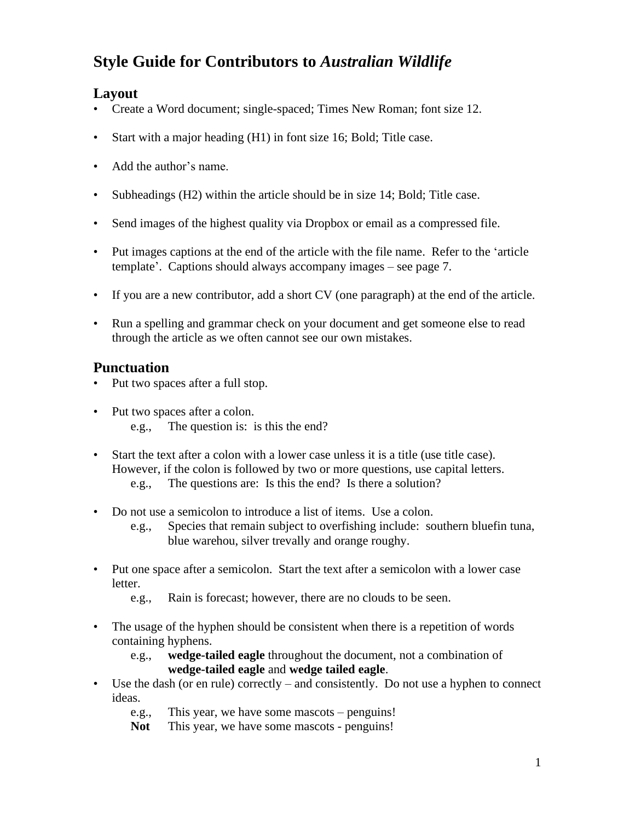# **Style Guide for Contributors to** *Australian Wildlife*

# **Layout**

- Create a Word document; single-spaced; Times New Roman; font size 12.
- Start with a major heading (H1) in font size 16; Bold; Title case.
- Add the author's name.
- Subheadings (H2) within the article should be in size 14; Bold; Title case.
- Send images of the highest quality via Dropbox or email as a compressed file.
- Put images captions at the end of the article with the file name. Refer to the 'article template'. Captions should always accompany images – see page 7.
- If you are a new contributor, add a short CV (one paragraph) at the end of the article.
- Run a spelling and grammar check on your document and get someone else to read through the article as we often cannot see our own mistakes.

# **Punctuation**

- Put two spaces after a full stop.
- Put two spaces after a colon.
	- e.g., The question is: is this the end?
- Start the text after a colon with a lower case unless it is a title (use title case). However, if the colon is followed by two or more questions, use capital letters. e.g., The questions are: Is this the end? Is there a solution?
- Do not use a semicolon to introduce a list of items. Use a colon.
	- e.g., Species that remain subject to overfishing include: southern bluefin tuna, blue warehou, silver trevally and orange roughy.
- Put one space after a semicolon. Start the text after a semicolon with a lower case letter.
	- e.g., Rain is forecast; however, there are no clouds to be seen.
- The usage of the hyphen should be consistent when there is a repetition of words containing hyphens.
	- e.g., **wedge-tailed eagle** throughout the document, not a combination of **wedge-tailed eagle** and **wedge tailed eagle**.
- Use the dash (or en rule) correctly and consistently. Do not use a hyphen to connect ideas.
	- e.g., This year, we have some mascots penguins!
	- Not This year, we have some mascots penguins!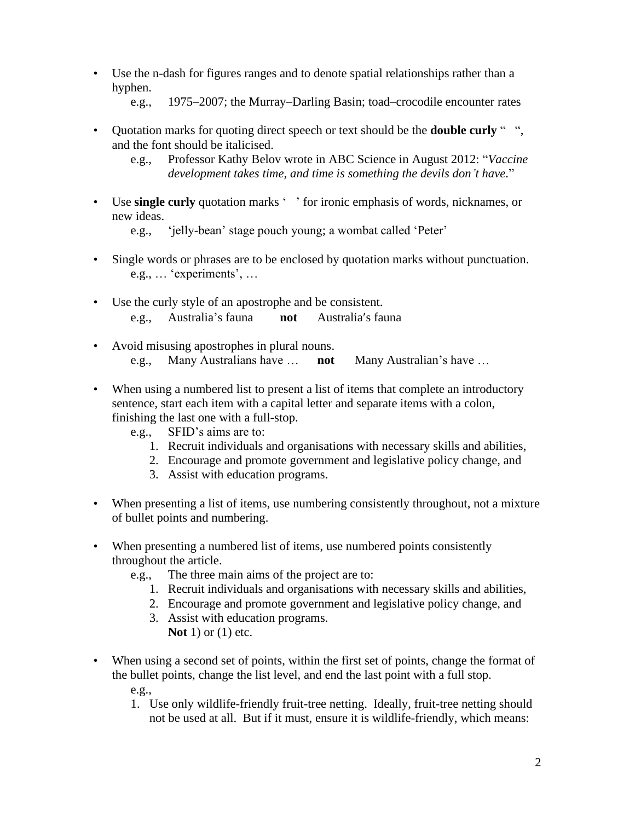- Use the n-dash for figures ranges and to denote spatial relationships rather than a hyphen.
	- e.g., 1975–2007; the Murray–Darling Basin; toad–crocodile encounter rates
- Quotation marks for quoting direct speech or text should be the **double curly** " ", and the font should be italicised.
	- e.g., Professor Kathy Belov wrote in ABC Science in August 2012: "*Vaccine development takes time, and time is something the devils don't have*."
- Use **single curly** quotation marks ' ' for ironic emphasis of words, nicknames, or new ideas.

e.g., 'jelly-bean' stage pouch young; a wombat called 'Peter'

- Single words or phrases are to be enclosed by quotation marks without punctuation. e.g., … 'experiments', …
- Use the curly style of an apostrophe and be consistent. e.g., Australia's fauna **not** Australia's fauna
- Avoid misusing apostrophes in plural nouns. e.g., Many Australians have … **not** Many Australian's have …
- When using a numbered list to present a list of items that complete an introductory sentence, start each item with a capital letter and separate items with a colon, finishing the last one with a full-stop.
	- e.g., SFID's aims are to:
		- 1. Recruit individuals and organisations with necessary skills and abilities,
		- 2. Encourage and promote government and legislative policy change, and
		- 3. Assist with education programs.
- When presenting a list of items, use numbering consistently throughout, not a mixture of bullet points and numbering.
- When presenting a numbered list of items, use numbered points consistently throughout the article.
	- e.g., The three main aims of the project are to:
		- 1. Recruit individuals and organisations with necessary skills and abilities,
		- 2. Encourage and promote government and legislative policy change, and
		- 3. Assist with education programs. **Not** 1) or (1) etc.
- When using a second set of points, within the first set of points, change the format of the bullet points, change the list level, and end the last point with a full stop. e.g.,
	- 1. Use only wildlife-friendly fruit-tree netting. Ideally, fruit-tree netting should not be used at all. But if it must, ensure it is wildlife-friendly, which means: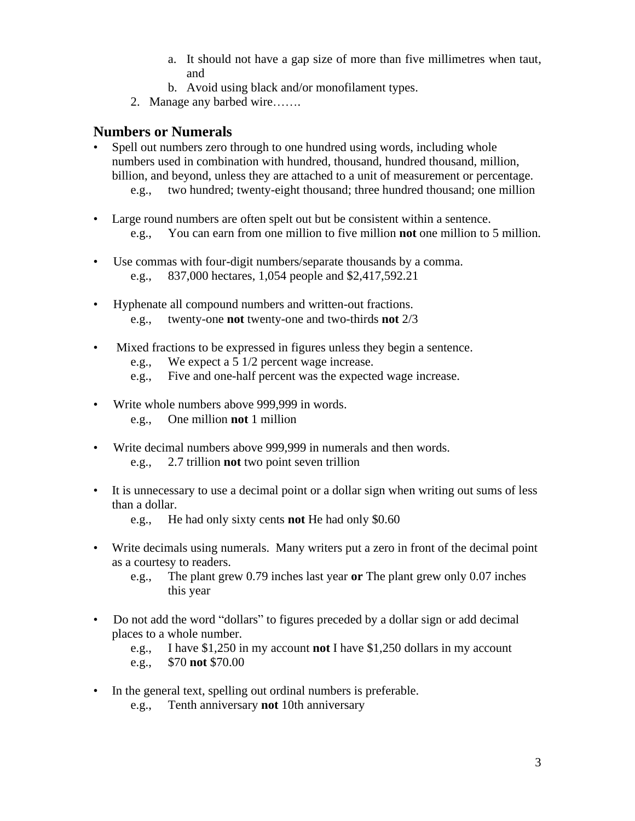- a. It should not have a gap size of more than five millimetres when taut, and
- b. Avoid using black and/or monofilament types.
- 2. Manage any barbed wire…….

#### **Numbers or Numerals**

- Spell out numbers zero through to one hundred using words, including whole numbers used in combination with hundred, thousand, hundred thousand, million, billion, and beyond, unless they are attached to a unit of measurement or percentage.
	- e.g., two hundred; twenty-eight thousand; three hundred thousand; one million
- Large round numbers are often spelt out but be consistent within a sentence. e.g., You can earn from one million to five million **not** one million to 5 million.
- Use commas with four-digit numbers/separate thousands by a comma. e.g., 837,000 hectares, 1,054 people and \$2,417,592.21
- Hyphenate all compound numbers and written-out fractions. e.g., twenty-one **not** twenty-one and two-thirds **not** 2/3
- Mixed fractions to be expressed in figures unless they begin a sentence.
	- e.g., We expect a 5 1/2 percent wage increase.
	- e.g., Five and one-half percent was the expected wage increase.
- Write whole numbers above 999,999 in words. e.g., One million **not** 1 million
- Write decimal numbers above 999,999 in numerals and then words. e.g., 2.7 trillion **not** two point seven trillion
- It is unnecessary to use a decimal point or a dollar sign when writing out sums of less than a dollar.

e.g., He had only sixty cents **not** He had only \$0.60

- Write decimals using numerals. Many writers put a zero in front of the decimal point as a courtesy to readers.
	- e.g., The plant grew 0.79 inches last year **or** The plant grew only 0.07 inches this year
- Do not add the word "dollars" to figures preceded by a dollar sign or add decimal places to a whole number.
	- e.g., I have \$1,250 in my account **not** I have \$1,250 dollars in my account

e.g., \$70 **not** \$70.00

- In the general text, spelling out ordinal numbers is preferable.
	- e.g., Tenth anniversary **not** 10th anniversary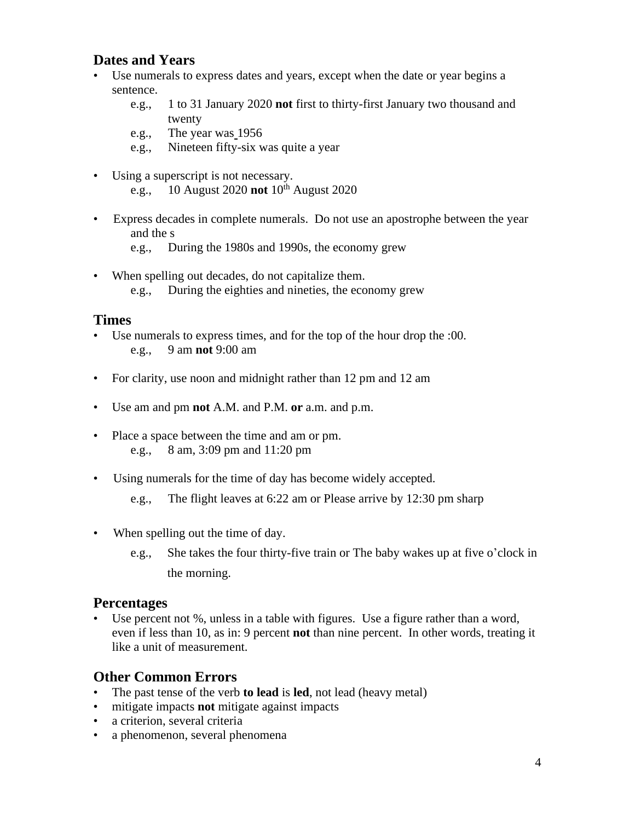## **Dates and Years**

- Use numerals to express dates and years, except when the date or year begins a sentence.
	- e.g., 1 to 31 January 2020 **not** first to thirty-first January two thousand and twenty
	- e.g., The year was 1956
	- e.g., Nineteen fifty-six was quite a year
- Using a superscript is not necessary. e.g., 10 August 2020 **not**  $10^{th}$  August 2020
- Express decades in complete numerals. Do not use an apostrophe between the year and the s
	- e.g., During the 1980s and 1990s, the economy grew
- When spelling out decades, do not capitalize them. e.g., During the eighties and nineties, the economy grew

#### **Times**

- Use numerals to express times, and for the top of the hour drop the :00. e.g., 9 am **not** 9:00 am
- For clarity, use noon and midnight rather than 12 pm and 12 am
- Use am and pm **not** A.M. and P.M. **or** a.m. and p.m.
- Place a space between the time and am or pm. e.g., 8 am, 3:09 pm and 11:20 pm
- Using numerals for the time of day has become widely accepted.
	- e.g., The flight leaves at 6:22 am or Please arrive by 12:30 pm sharp
- When spelling out the time of day.
	- e.g., She takes the four thirty-five train or The baby wakes up at five o'clock in the morning.

#### **Percentages**

• Use percent not %, unless in a table with figures. Use a figure rather than a word, even if less than 10, as in: 9 percent **not** than nine percent. In other words, treating it like a unit of measurement.

## **Other Common Errors**

- The past tense of the verb **to lead** is **led**, not lead (heavy metal)
- mitigate impacts **not** mitigate against impacts
- a criterion, several criteria
- a phenomenon, several phenomena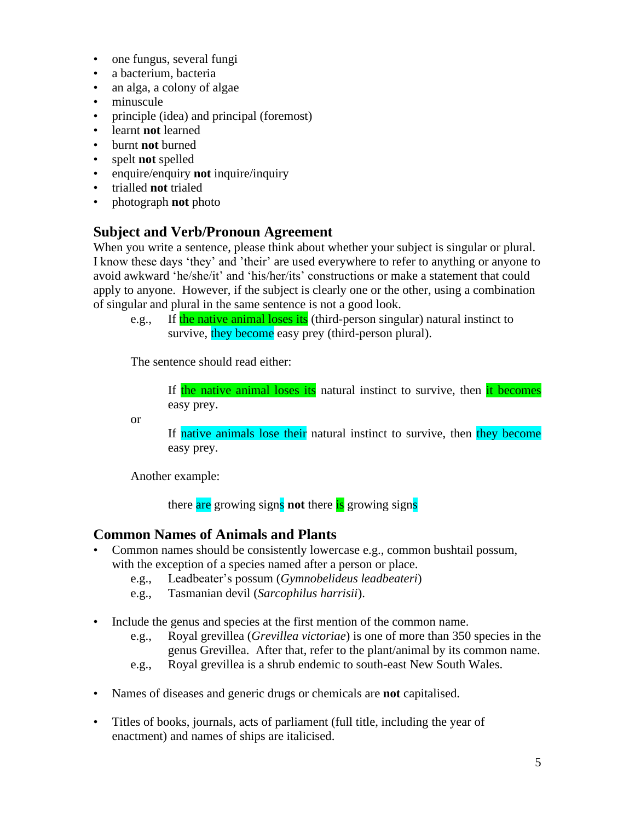- one fungus, several fungi
- a bacterium, bacteria
- an alga, a colony of algae
- minuscule
- principle (idea) and principal (foremost)
- learnt **not** learned
- burnt **not** burned
- spelt **not** spelled
- enquire/enquiry **not** inquire/inquiry
- trialled **not** trialed
- photograph **not** photo

## **Subject and Verb/Pronoun Agreement**

When you write a sentence, please think about whether your subject is singular or plural. I know these days 'they' and 'their' are used everywhere to refer to anything or anyone to avoid awkward 'he/she/it' and 'his/her/its' constructions or make a statement that could apply to anyone. However, if the subject is clearly one or the other, using a combination of singular and plural in the same sentence is not a good look.

e.g., If the native animal loses its (third-person singular) natural instinct to survive, they become easy prey (third-person plural).

The sentence should read either:

If the native animal loses its natural instinct to survive, then it becomes easy prey.

or

If native animals lose their natural instinct to survive, then they become easy prey.

Another example:

there are growing signs **not** there is growing signs

#### **Common Names of Animals and Plants**

- Common names should be consistently lowercase e.g., common bushtail possum, with the exception of a species named after a person or place.
	- e.g., Leadbeater's possum (*Gymnobelideus leadbeateri*)
	- e.g., Tasmanian devil (*Sarcophilus harrisii*).
- Include the genus and species at the first mention of the common name.
	- e.g., Royal grevillea (*Grevillea victoriae*) is one of more than 350 species in the genus Grevillea. After that, refer to the plant/animal by its common name.
	- e.g., Royal grevillea is a shrub endemic to south-east New South Wales.
- Names of diseases and generic drugs or chemicals are **not** capitalised.
- Titles of books, journals, acts of parliament (full title, including the year of enactment) and names of ships are italicised.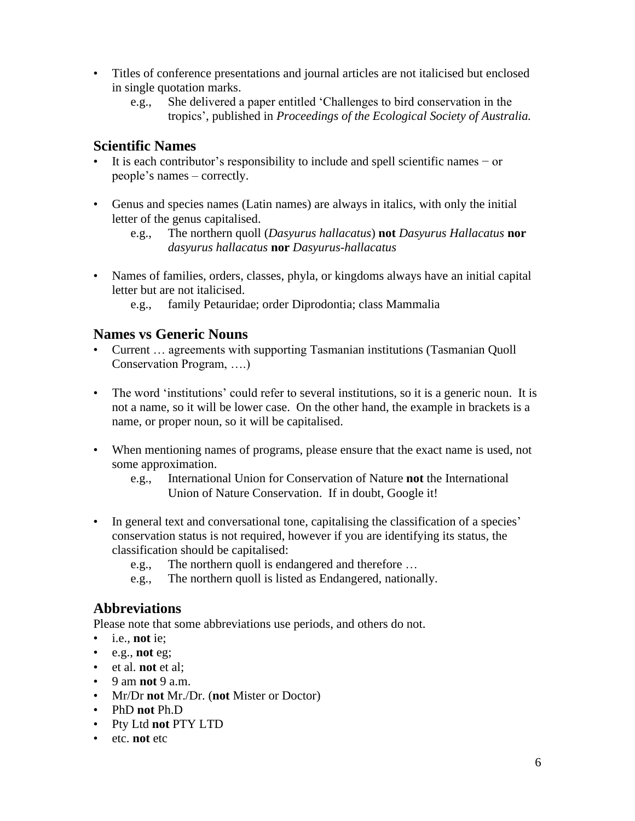- Titles of conference presentations and journal articles are not italicised but enclosed in single quotation marks.
	- e.g., She delivered a paper entitled 'Challenges to bird conservation in the tropics', published in *Proceedings of the Ecological Society of Australia.*

# **Scientific Names**

- It is each contributor's responsibility to include and spell scientific names − or people's names – correctly.
- Genus and species names (Latin names) are always in italics, with only the initial letter of the genus capitalised.
	- e.g., The northern quoll (*Dasyurus hallacatus*) **not** *Dasyurus Hallacatus* **nor** *dasyurus hallacatus* **nor** *Dasyurus-hallacatus*
- Names of families, orders, classes, phyla, or kingdoms always have an initial capital letter but are not italicised.
	- e.g., family Petauridae; order Diprodontia; class Mammalia

## **Names vs Generic Nouns**

- Current … agreements with supporting Tasmanian institutions (Tasmanian Quoll Conservation Program, ….)
- The word 'institutions' could refer to several institutions, so it is a generic noun. It is not a name, so it will be lower case. On the other hand, the example in brackets is a name, or proper noun, so it will be capitalised.
- When mentioning names of programs, please ensure that the exact name is used, not some approximation.
	- e.g., International Union for Conservation of Nature **not** the International Union of Nature Conservation. If in doubt, Google it!
- In general text and conversational tone, capitalising the classification of a species' conservation status is not required, however if you are identifying its status, the classification should be capitalised:
	- e.g., The northern quoll is endangered and therefore …
	- e.g., The northern quoll is listed as Endangered, nationally.

# **Abbreviations**

Please note that some abbreviations use periods, and others do not.

- i.e., **not** ie;
- e.g., **not** eg;
- et al. **not** et al;
- 9 am **not** 9 a.m.
- Mr/Dr **not** Mr./Dr. (**not** Mister or Doctor)
- PhD **not** Ph.D
- Pty Ltd **not** PTY LTD
- etc. **not** etc